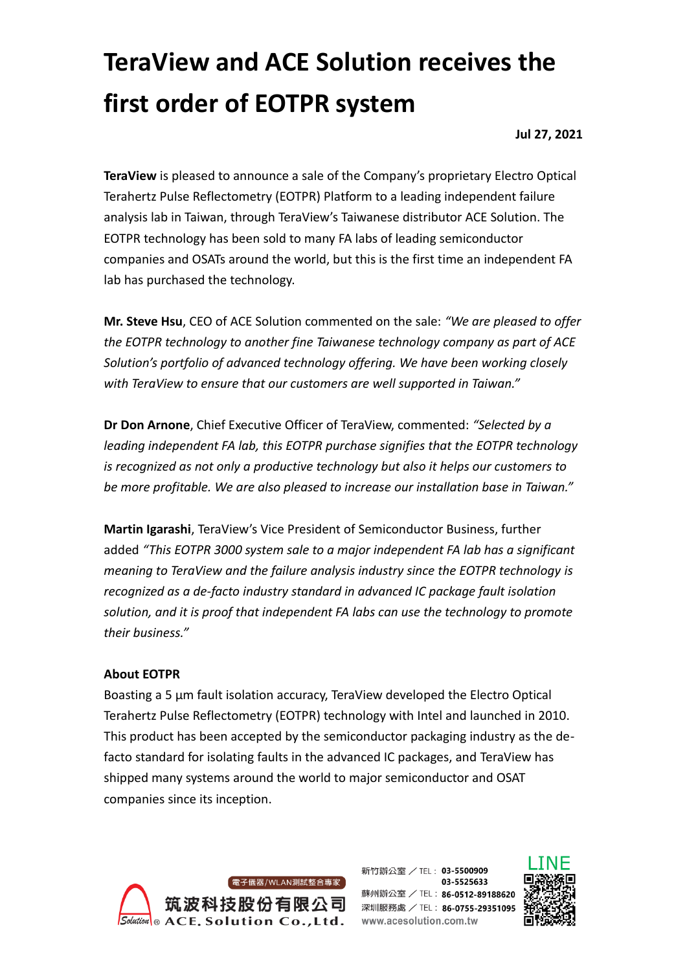## **TeraView and ACE Solution receives the first order of EOTPR system**

**Jul 27, 2021**

**TeraView** is pleased to announce a sale of the Company's proprietary Electro Optical Terahertz Pulse Reflectometry (EOTPR) Platform to a leading independent failure analysis lab in Taiwan, through TeraView's Taiwanese distributor ACE Solution. The EOTPR technology has been sold to many FA labs of leading semiconductor companies and OSATs around the world, but this is the first time an independent FA lab has purchased the technology.

**Mr. Steve Hsu**, CEO of ACE Solution commented on the sale: *"We are pleased to offer the EOTPR technology to another fine Taiwanese technology company as part of ACE Solution's portfolio of advanced technology offering. We have been working closely with TeraView to ensure that our customers are well supported in Taiwan."*

**Dr Don Arnone**, Chief Executive Officer of TeraView, commented: *"Selected by a leading independent FA lab, this EOTPR purchase signifies that the EOTPR technology is recognized as not only a productive technology but also it helps our customers to be more profitable. We are also pleased to increase our installation base in Taiwan."*

**Martin Igarashi**, TeraView's Vice President of Semiconductor Business, further added *"This EOTPR 3000 system sale to a major independent FA lab has a significant meaning to TeraView and the failure analysis industry since the EOTPR technology is recognized as a de-facto industry standard in advanced IC package fault isolation solution, and it is proof that independent FA labs can use the technology to promote their business."*

## **About EOTPR**

Boasting a 5 µm fault isolation accuracy, TeraView developed the Electro Optical Terahertz Pulse Reflectometry (EOTPR) technology with Intel and launched in 2010. This product has been accepted by the semiconductor packaging industry as the defacto standard for isolating faults in the advanced IC packages, and TeraView has shipped many systems around the world to major semiconductor and OSAT companies since its inception.



新竹辦公室 / TEL: 03-5500909 03-5525633 蘇州辧公室 / TEL: 86-0512-89188620 深圳服務處 / TEL: 86-0755-29351095 www.acesolution.com.tw